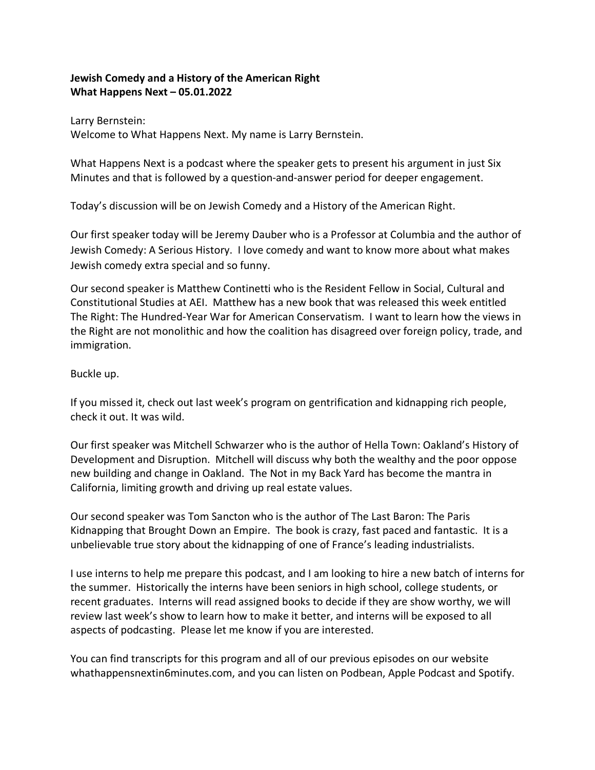# **Jewish Comedy and a History of the American Right What Happens Next – 05.01.2022**

Larry Bernstein: Welcome to What Happens Next. My name is Larry Bernstein.

What Happens Next is a podcast where the speaker gets to present his argument in just Six Minutes and that is followed by a question-and-answer period for deeper engagement.

Today's discussion will be on Jewish Comedy and a History of the American Right.

Our first speaker today will be Jeremy Dauber who is a Professor at Columbia and the author of Jewish Comedy: A Serious History. I love comedy and want to know more about what makes Jewish comedy extra special and so funny.

Our second speaker is Matthew Continetti who is the Resident Fellow in Social, Cultural and Constitutional Studies at AEI. Matthew has a new book that was released this week entitled The Right: The Hundred-Year War for American Conservatism. I want to learn how the views in the Right are not monolithic and how the coalition has disagreed over foreign policy, trade, and immigration.

Buckle up.

If you missed it, check out last week's program on gentrification and kidnapping rich people, check it out. It was wild.

Our first speaker was Mitchell Schwarzer who is the author of Hella Town: Oakland's History of Development and Disruption. Mitchell will discuss why both the wealthy and the poor oppose new building and change in Oakland. The Not in my Back Yard has become the mantra in California, limiting growth and driving up real estate values.

Our second speaker was Tom Sancton who is the author of The Last Baron: The Paris Kidnapping that Brought Down an Empire. The book is crazy, fast paced and fantastic. It is a unbelievable true story about the kidnapping of one of France's leading industrialists.

I use interns to help me prepare this podcast, and I am looking to hire a new batch of interns for the summer. Historically the interns have been seniors in high school, college students, or recent graduates. Interns will read assigned books to decide if they are show worthy, we will review last week's show to learn how to make it better, and interns will be exposed to all aspects of podcasting. Please let me know if you are interested.

You can find transcripts for this program and all of our previous episodes on our website whathappensnextin6minutes.com, and you can listen on Podbean, Apple Podcast and Spotify.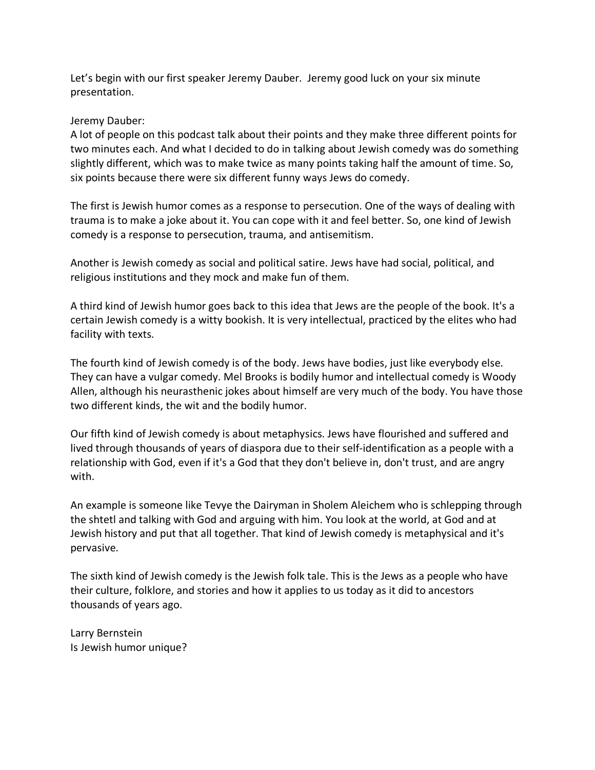Let's begin with our first speaker Jeremy Dauber. Jeremy good luck on your six minute presentation.

#### Jeremy Dauber:

A lot of people on this podcast talk about their points and they make three different points for two minutes each. And what I decided to do in talking about Jewish comedy was do something slightly different, which was to make twice as many points taking half the amount of time. So, six points because there were six different funny ways Jews do comedy.

The first is Jewish humor comes as a response to persecution. One of the ways of dealing with trauma is to make a joke about it. You can cope with it and feel better. So, one kind of Jewish comedy is a response to persecution, trauma, and antisemitism.

Another is Jewish comedy as social and political satire. Jews have had social, political, and religious institutions and they mock and make fun of them.

A third kind of Jewish humor goes back to this idea that Jews are the people of the book. It's a certain Jewish comedy is a witty bookish. It is very intellectual, practiced by the elites who had facility with texts.

The fourth kind of Jewish comedy is of the body. Jews have bodies, just like everybody else. They can have a vulgar comedy. Mel Brooks is bodily humor and intellectual comedy is Woody Allen, although his neurasthenic jokes about himself are very much of the body. You have those two different kinds, the wit and the bodily humor.

Our fifth kind of Jewish comedy is about metaphysics. Jews have flourished and suffered and lived through thousands of years of diaspora due to their self-identification as a people with a relationship with God, even if it's a God that they don't believe in, don't trust, and are angry with.

An example is someone like Tevye the Dairyman in Sholem Aleichem who is schlepping through the shtetl and talking with God and arguing with him. You look at the world, at God and at Jewish history and put that all together. That kind of Jewish comedy is metaphysical and it's pervasive.

The sixth kind of Jewish comedy is the Jewish folk tale. This is the Jews as a people who have their culture, folklore, and stories and how it applies to us today as it did to ancestors thousands of years ago.

Larry Bernstein Is Jewish humor unique?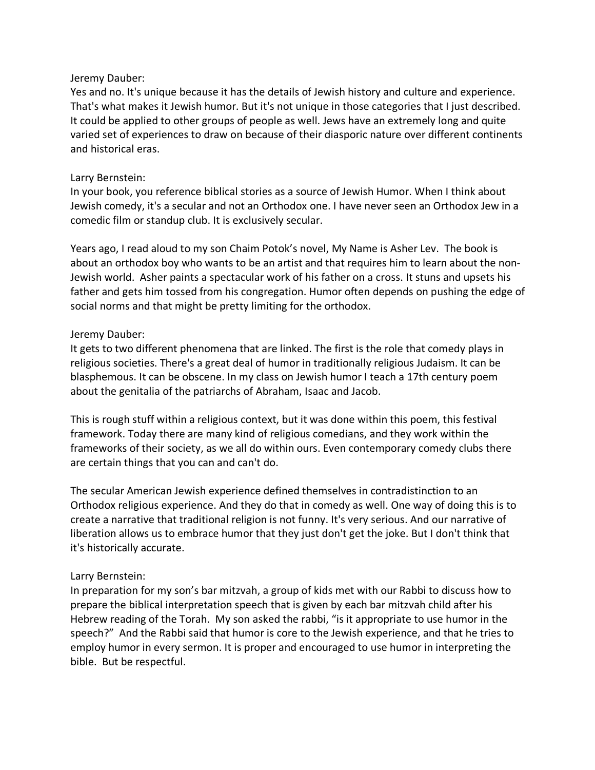Yes and no. It's unique because it has the details of Jewish history and culture and experience. That's what makes it Jewish humor. But it's not unique in those categories that I just described. It could be applied to other groups of people as well. Jews have an extremely long and quite varied set of experiences to draw on because of their diasporic nature over different continents and historical eras.

### Larry Bernstein:

In your book, you reference biblical stories as a source of Jewish Humor. When I think about Jewish comedy, it's a secular and not an Orthodox one. I have never seen an Orthodox Jew in a comedic film or standup club. It is exclusively secular.

Years ago, I read aloud to my son Chaim Potok's novel, My Name is Asher Lev. The book is about an orthodox boy who wants to be an artist and that requires him to learn about the non-Jewish world. Asher paints a spectacular work of his father on a cross. It stuns and upsets his father and gets him tossed from his congregation. Humor often depends on pushing the edge of social norms and that might be pretty limiting for the orthodox.

# Jeremy Dauber:

It gets to two different phenomena that are linked. The first is the role that comedy plays in religious societies. There's a great deal of humor in traditionally religious Judaism. It can be blasphemous. It can be obscene. In my class on Jewish humor I teach a 17th century poem about the genitalia of the patriarchs of Abraham, Isaac and Jacob.

This is rough stuff within a religious context, but it was done within this poem, this festival framework. Today there are many kind of religious comedians, and they work within the frameworks of their society, as we all do within ours. Even contemporary comedy clubs there are certain things that you can and can't do.

The secular American Jewish experience defined themselves in contradistinction to an Orthodox religious experience. And they do that in comedy as well. One way of doing this is to create a narrative that traditional religion is not funny. It's very serious. And our narrative of liberation allows us to embrace humor that they just don't get the joke. But I don't think that it's historically accurate.

# Larry Bernstein:

In preparation for my son's bar mitzvah, a group of kids met with our Rabbi to discuss how to prepare the biblical interpretation speech that is given by each bar mitzvah child after his Hebrew reading of the Torah. My son asked the rabbi, "is it appropriate to use humor in the speech?" And the Rabbi said that humor is core to the Jewish experience, and that he tries to employ humor in every sermon. It is proper and encouraged to use humor in interpreting the bible. But be respectful.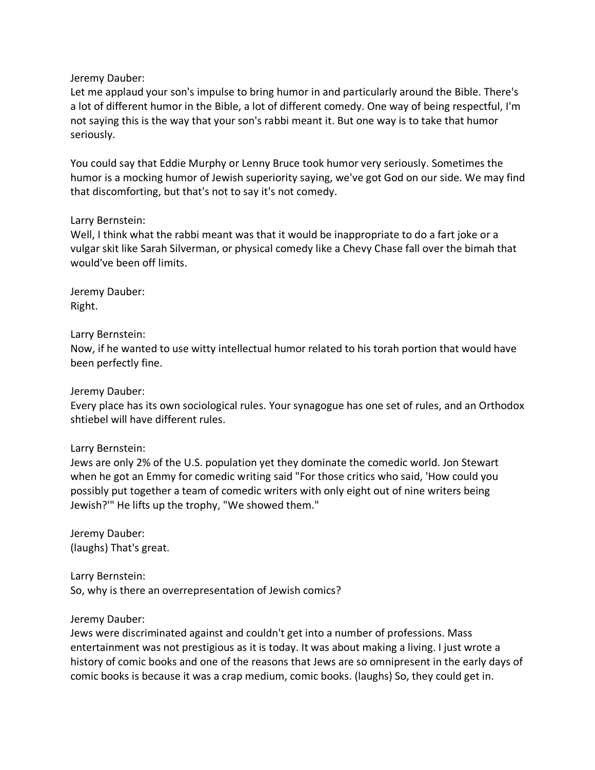Let me applaud your son's impulse to bring humor in and particularly around the Bible. There's a lot of different humor in the Bible, a lot of different comedy. One way of being respectful, I'm not saying this is the way that your son's rabbi meant it. But one way is to take that humor seriously.

You could say that Eddie Murphy or Lenny Bruce took humor very seriously. Sometimes the humor is a mocking humor of Jewish superiority saying, we've got God on our side. We may find that discomforting, but that's not to say it's not comedy.

#### Larry Bernstein:

Well, I think what the rabbi meant was that it would be inappropriate to do a fart joke or a vulgar skit like Sarah Silverman, or physical comedy like a Chevy Chase fall over the bimah that would've been off limits.

Jeremy Dauber: Right.

Larry Bernstein:

Now, if he wanted to use witty intellectual humor related to his torah portion that would have been perfectly fine.

Jeremy Dauber:

Every place has its own sociological rules. Your synagogue has one set of rules, and an Orthodox shtiebel will have different rules.

Larry Bernstein:

Jews are only 2% of the U.S. population yet they dominate the comedic world. Jon Stewart when he got an Emmy for comedic writing said "For those critics who said, 'How could you possibly put together a team of comedic writers with only eight out of nine writers being Jewish?'" He lifts up the trophy, "We showed them."

Jeremy Dauber: (laughs) That's great.

Larry Bernstein: So, why is there an overrepresentation of Jewish comics?

Jeremy Dauber:

Jews were discriminated against and couldn't get into a number of professions. Mass entertainment was not prestigious as it is today. It was about making a living. I just wrote a history of comic books and one of the reasons that Jews are so omnipresent in the early days of comic books is because it was a crap medium, comic books. (laughs) So, they could get in.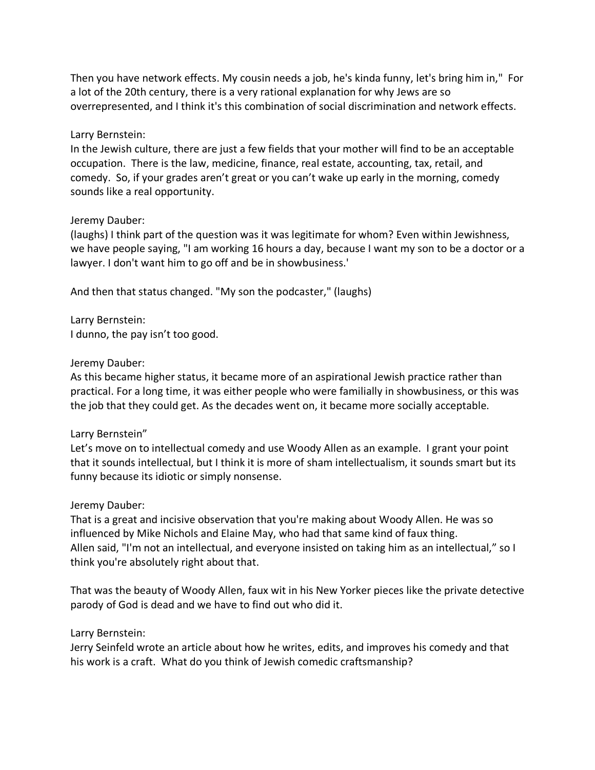Then you have network effects. My cousin needs a job, he's kinda funny, let's bring him in," For a lot of the 20th century, there is a very rational explanation for why Jews are so overrepresented, and I think it's this combination of social discrimination and network effects.

### Larry Bernstein:

In the Jewish culture, there are just a few fields that your mother will find to be an acceptable occupation. There is the law, medicine, finance, real estate, accounting, tax, retail, and comedy. So, if your grades aren't great or you can't wake up early in the morning, comedy sounds like a real opportunity.

### Jeremy Dauber:

(laughs) I think part of the question was it was legitimate for whom? Even within Jewishness, we have people saying, "I am working 16 hours a day, because I want my son to be a doctor or a lawyer. I don't want him to go off and be in showbusiness.'

And then that status changed. "My son the podcaster," (laughs)

Larry Bernstein: I dunno, the pay isn't too good.

# Jeremy Dauber:

As this became higher status, it became more of an aspirational Jewish practice rather than practical. For a long time, it was either people who were familially in showbusiness, or this was the job that they could get. As the decades went on, it became more socially acceptable.

# Larry Bernstein"

Let's move on to intellectual comedy and use Woody Allen as an example. I grant your point that it sounds intellectual, but I think it is more of sham intellectualism, it sounds smart but its funny because its idiotic or simply nonsense.

#### Jeremy Dauber:

That is a great and incisive observation that you're making about Woody Allen. He was so influenced by Mike Nichols and Elaine May, who had that same kind of faux thing. Allen said, "I'm not an intellectual, and everyone insisted on taking him as an intellectual," so I think you're absolutely right about that.

That was the beauty of Woody Allen, faux wit in his New Yorker pieces like the private detective parody of God is dead and we have to find out who did it.

# Larry Bernstein:

Jerry Seinfeld wrote an article about how he writes, edits, and improves his comedy and that his work is a craft. What do you think of Jewish comedic craftsmanship?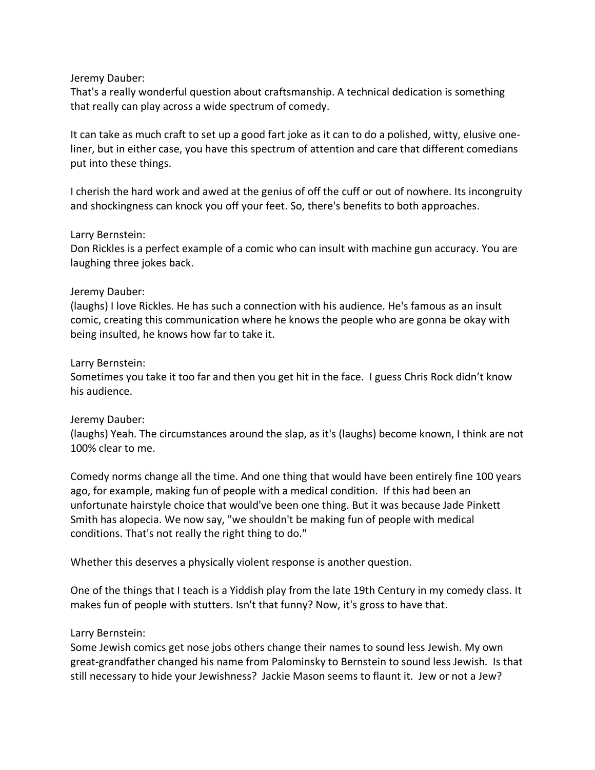That's a really wonderful question about craftsmanship. A technical dedication is something that really can play across a wide spectrum of comedy.

It can take as much craft to set up a good fart joke as it can to do a polished, witty, elusive oneliner, but in either case, you have this spectrum of attention and care that different comedians put into these things.

I cherish the hard work and awed at the genius of off the cuff or out of nowhere. Its incongruity and shockingness can knock you off your feet. So, there's benefits to both approaches.

### Larry Bernstein:

Don Rickles is a perfect example of a comic who can insult with machine gun accuracy. You are laughing three jokes back.

### Jeremy Dauber:

(laughs) I love Rickles. He has such a connection with his audience. He's famous as an insult comic, creating this communication where he knows the people who are gonna be okay with being insulted, he knows how far to take it.

### Larry Bernstein:

Sometimes you take it too far and then you get hit in the face. I guess Chris Rock didn't know his audience.

# Jeremy Dauber:

(laughs) Yeah. The circumstances around the slap, as it's (laughs) become known, I think are not 100% clear to me.

Comedy norms change all the time. And one thing that would have been entirely fine 100 years ago, for example, making fun of people with a medical condition. If this had been an unfortunate hairstyle choice that would've been one thing. But it was because Jade Pinkett Smith has alopecia. We now say, "we shouldn't be making fun of people with medical conditions. That's not really the right thing to do."

Whether this deserves a physically violent response is another question.

One of the things that I teach is a Yiddish play from the late 19th Century in my comedy class. It makes fun of people with stutters. Isn't that funny? Now, it's gross to have that.

# Larry Bernstein:

Some Jewish comics get nose jobs others change their names to sound less Jewish. My own great-grandfather changed his name from Palominsky to Bernstein to sound less Jewish. Is that still necessary to hide your Jewishness? Jackie Mason seems to flaunt it. Jew or not a Jew?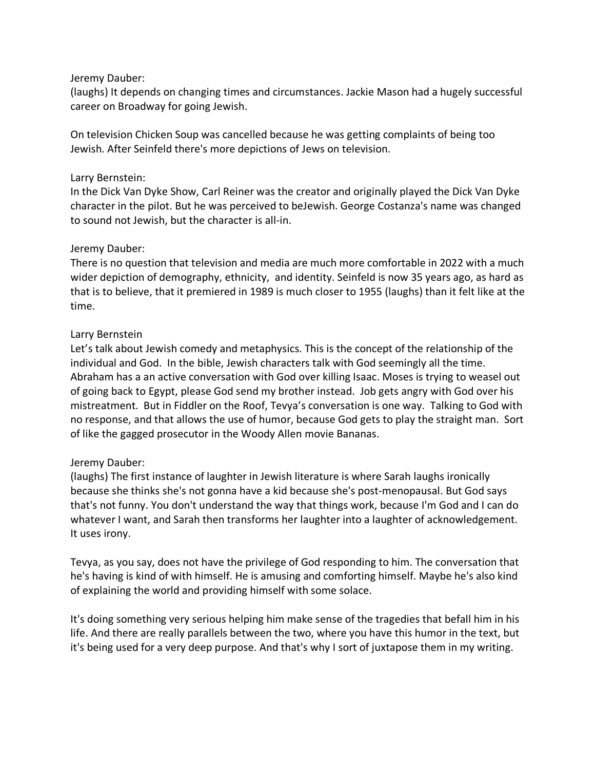(laughs) It depends on changing times and circumstances. Jackie Mason had a hugely successful career on Broadway for going Jewish.

On television Chicken Soup was cancelled because he was getting complaints of being too Jewish. After Seinfeld there's more depictions of Jews on television.

### Larry Bernstein:

In the Dick Van Dyke Show, Carl Reiner was the creator and originally played the Dick Van Dyke character in the pilot. But he was perceived to beJewish. George Costanza's name was changed to sound not Jewish, but the character is all-in.

### Jeremy Dauber:

There is no question that television and media are much more comfortable in 2022 with a much wider depiction of demography, ethnicity, and identity. Seinfeld is now 35 years ago, as hard as that is to believe, that it premiered in 1989 is much closer to 1955 (laughs) than it felt like at the time.

# Larry Bernstein

Let's talk about Jewish comedy and metaphysics. This is the concept of the relationship of the individual and God. In the bible, Jewish characters talk with God seemingly all the time. Abraham has a an active conversation with God over killing Isaac. Moses is trying to weasel out of going back to Egypt, please God send my brother instead. Job gets angry with God over his mistreatment. But in Fiddler on the Roof, Tevya's conversation is one way. Talking to God with no response, and that allows the use of humor, because God gets to play the straight man. Sort of like the gagged prosecutor in the Woody Allen movie Bananas.

# Jeremy Dauber:

(laughs) The first instance of laughter in Jewish literature is where Sarah laughs ironically because she thinks she's not gonna have a kid because she's post-menopausal. But God says that's not funny. You don't understand the way that things work, because I'm God and I can do whatever I want, and Sarah then transforms her laughter into a laughter of acknowledgement. It uses irony.

Tevya, as you say, does not have the privilege of God responding to him. The conversation that he's having is kind of with himself. He is amusing and comforting himself. Maybe he's also kind of explaining the world and providing himself with some solace.

It's doing something very serious helping him make sense of the tragedies that befall him in his life. And there are really parallels between the two, where you have this humor in the text, but it's being used for a very deep purpose. And that's why I sort of juxtapose them in my writing.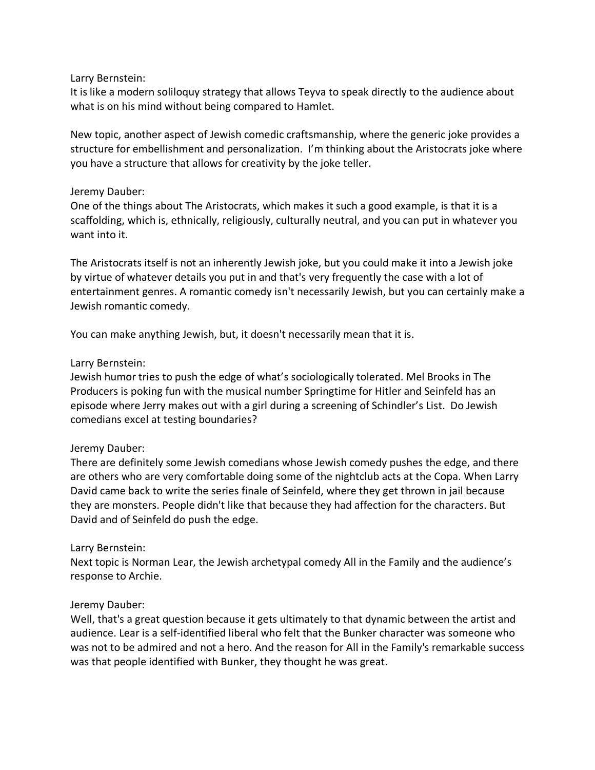### Larry Bernstein:

It is like a modern soliloquy strategy that allows Teyva to speak directly to the audience about what is on his mind without being compared to Hamlet.

New topic, another aspect of Jewish comedic craftsmanship, where the generic joke provides a structure for embellishment and personalization. I'm thinking about the Aristocrats joke where you have a structure that allows for creativity by the joke teller.

### Jeremy Dauber:

One of the things about The Aristocrats, which makes it such a good example, is that it is a scaffolding, which is, ethnically, religiously, culturally neutral, and you can put in whatever you want into it.

The Aristocrats itself is not an inherently Jewish joke, but you could make it into a Jewish joke by virtue of whatever details you put in and that's very frequently the case with a lot of entertainment genres. A romantic comedy isn't necessarily Jewish, but you can certainly make a Jewish romantic comedy.

You can make anything Jewish, but, it doesn't necessarily mean that it is.

### Larry Bernstein:

Jewish humor tries to push the edge of what's sociologically tolerated. Mel Brooks in The Producers is poking fun with the musical number Springtime for Hitler and Seinfeld has an episode where Jerry makes out with a girl during a screening of Schindler's List. Do Jewish comedians excel at testing boundaries?

# Jeremy Dauber:

There are definitely some Jewish comedians whose Jewish comedy pushes the edge, and there are others who are very comfortable doing some of the nightclub acts at the Copa. When Larry David came back to write the series finale of Seinfeld, where they get thrown in jail because they are monsters. People didn't like that because they had affection for the characters. But David and of Seinfeld do push the edge.

# Larry Bernstein:

Next topic is Norman Lear, the Jewish archetypal comedy All in the Family and the audience's response to Archie.

#### Jeremy Dauber:

Well, that's a great question because it gets ultimately to that dynamic between the artist and audience. Lear is a self-identified liberal who felt that the Bunker character was someone who was not to be admired and not a hero. And the reason for All in the Family's remarkable success was that people identified with Bunker, they thought he was great.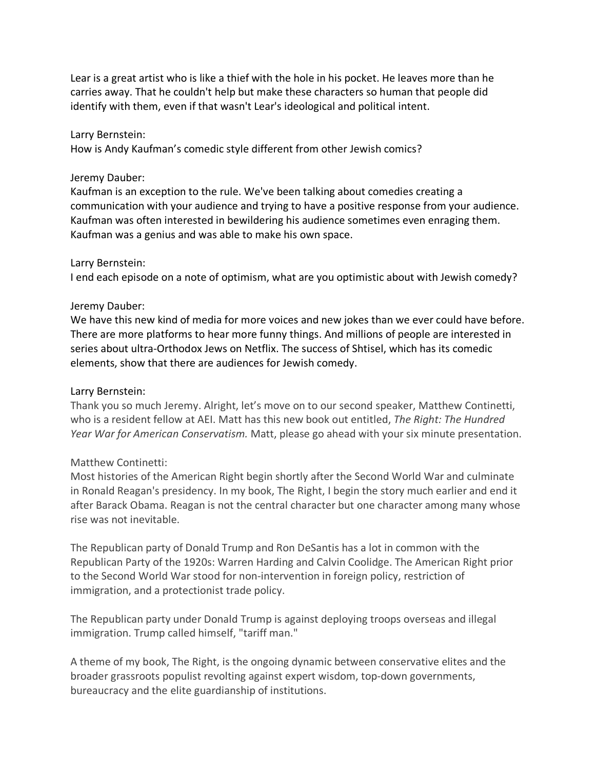Lear is a great artist who is like a thief with the hole in his pocket. He leaves more than he carries away. That he couldn't help but make these characters so human that people did identify with them, even if that wasn't Lear's ideological and political intent.

#### Larry Bernstein:

How is Andy Kaufman's comedic style different from other Jewish comics?

#### Jeremy Dauber:

Kaufman is an exception to the rule. We've been talking about comedies creating a communication with your audience and trying to have a positive response from your audience. Kaufman was often interested in bewildering his audience sometimes even enraging them. Kaufman was a genius and was able to make his own space.

#### Larry Bernstein:

I end each episode on a note of optimism, what are you optimistic about with Jewish comedy?

#### Jeremy Dauber:

We have this new kind of media for more voices and new jokes than we ever could have before. There are more platforms to hear more funny things. And millions of people are interested in series about ultra-Orthodox Jews on Netflix. The success of Shtisel, which has its comedic elements, show that there are audiences for Jewish comedy.

#### Larry Bernstein:

Thank you so much Jeremy. Alright, let's move on to our second speaker, Matthew Continetti, who is a resident fellow at AEI. Matt has this new book out entitled, *The Right: The Hundred Year War for American Conservatism.* Matt, please go ahead with your six minute presentation.

#### Matthew Continetti:

Most histories of the American Right begin shortly after the Second World War and culminate in Ronald Reagan's presidency. In my book, The Right, I begin the story much earlier and end it after Barack Obama. Reagan is not the central character but one character among many whose rise was not inevitable.

The Republican party of Donald Trump and Ron DeSantis has a lot in common with the Republican Party of the 1920s: Warren Harding and Calvin Coolidge. The American Right prior to the Second World War stood for non-intervention in foreign policy, restriction of immigration, and a protectionist trade policy.

The Republican party under Donald Trump is against deploying troops overseas and illegal immigration. Trump called himself, "tariff man."

A theme of my book, The Right, is the ongoing dynamic between conservative elites and the broader grassroots populist revolting against expert wisdom, top-down governments, bureaucracy and the elite guardianship of institutions.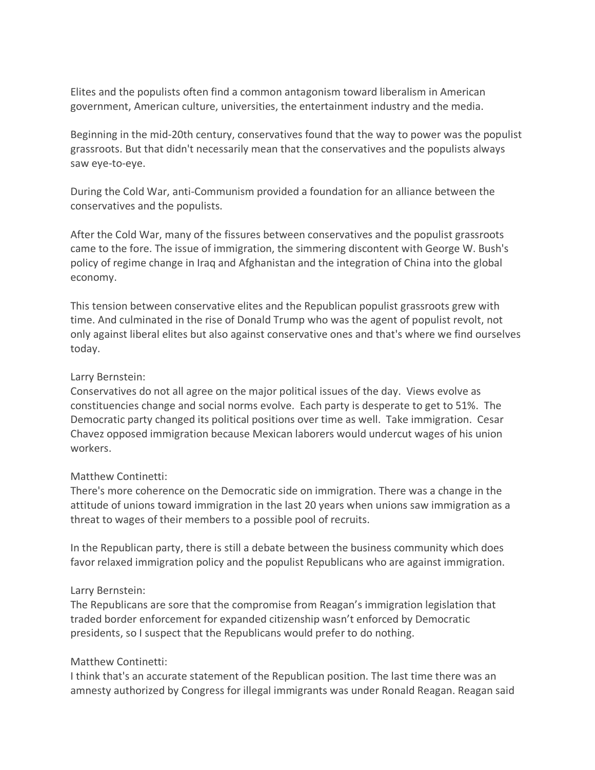Elites and the populists often find a common antagonism toward liberalism in American government, American culture, universities, the entertainment industry and the media.

Beginning in the mid-20th century, conservatives found that the way to power was the populist grassroots. But that didn't necessarily mean that the conservatives and the populists always saw eye-to-eye.

During the Cold War, anti-Communism provided a foundation for an alliance between the conservatives and the populists.

After the Cold War, many of the fissures between conservatives and the populist grassroots came to the fore. The issue of immigration, the simmering discontent with George W. Bush's policy of regime change in Iraq and Afghanistan and the integration of China into the global economy.

This tension between conservative elites and the Republican populist grassroots grew with time. And culminated in the rise of Donald Trump who was the agent of populist revolt, not only against liberal elites but also against conservative ones and that's where we find ourselves today.

#### Larry Bernstein:

Conservatives do not all agree on the major political issues of the day. Views evolve as constituencies change and social norms evolve. Each party is desperate to get to 51%. The Democratic party changed its political positions over time as well. Take immigration. Cesar Chavez opposed immigration because Mexican laborers would undercut wages of his union workers.

#### Matthew Continetti:

There's more coherence on the Democratic side on immigration. There was a change in the attitude of unions toward immigration in the last 20 years when unions saw immigration as a threat to wages of their members to a possible pool of recruits.

In the Republican party, there is still a debate between the business community which does favor relaxed immigration policy and the populist Republicans who are against immigration.

#### Larry Bernstein:

The Republicans are sore that the compromise from Reagan's immigration legislation that traded border enforcement for expanded citizenship wasn't enforced by Democratic presidents, so I suspect that the Republicans would prefer to do nothing.

#### Matthew Continetti:

I think that's an accurate statement of the Republican position. The last time there was an amnesty authorized by Congress for illegal immigrants was under Ronald Reagan. Reagan said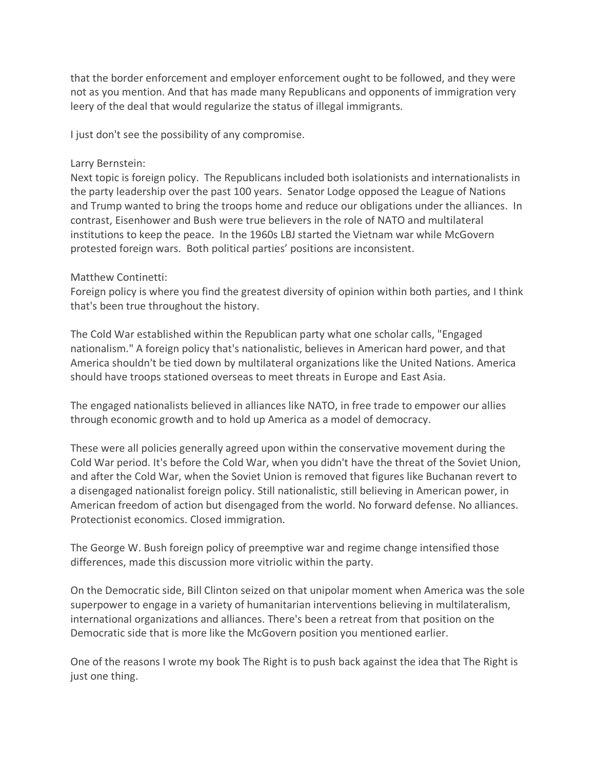that the border enforcement and employer enforcement ought to be followed, and they were not as you mention. And that has made many Republicans and opponents of immigration very leery of the deal that would regularize the status of illegal immigrants.

I just don't see the possibility of any compromise.

### Larry Bernstein:

Next topic is foreign policy. The Republicans included both isolationists and internationalists in the party leadership over the past 100 years. Senator Lodge opposed the League of Nations and Trump wanted to bring the troops home and reduce our obligations under the alliances. In contrast, Eisenhower and Bush were true believers in the role of NATO and multilateral institutions to keep the peace. In the 1960s LBJ started the Vietnam war while McGovern protested foreign wars. Both political parties' positions are inconsistent.

### Matthew Continetti:

Foreign policy is where you find the greatest diversity of opinion within both parties, and I think that's been true throughout the history.

The Cold War established within the Republican party what one scholar calls, "Engaged nationalism." A foreign policy that's nationalistic, believes in American hard power, and that America shouldn't be tied down by multilateral organizations like the United Nations. America should have troops stationed overseas to meet threats in Europe and East Asia.

The engaged nationalists believed in alliances like NATO, in free trade to empower our allies through economic growth and to hold up America as a model of democracy.

These were all policies generally agreed upon within the conservative movement during the Cold War period. It's before the Cold War, when you didn't have the threat of the Soviet Union, and after the Cold War, when the Soviet Union is removed that figures like Buchanan revert to a disengaged nationalist foreign policy. Still nationalistic, still believing in American power, in American freedom of action but disengaged from the world. No forward defense. No alliances. Protectionist economics. Closed immigration.

The George W. Bush foreign policy of preemptive war and regime change intensified those differences, made this discussion more vitriolic within the party.

On the Democratic side, Bill Clinton seized on that unipolar moment when America was the sole superpower to engage in a variety of humanitarian interventions believing in multilateralism, international organizations and alliances. There's been a retreat from that position on the Democratic side that is more like the McGovern position you mentioned earlier.

One of the reasons I wrote my book The Right is to push back against the idea that The Right is just one thing.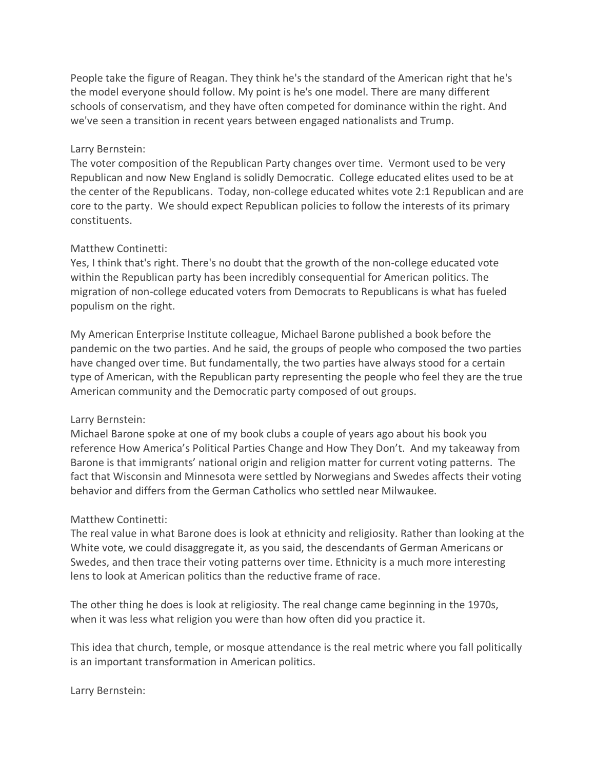People take the figure of Reagan. They think he's the standard of the American right that he's the model everyone should follow. My point is he's one model. There are many different schools of conservatism, and they have often competed for dominance within the right. And we've seen a transition in recent years between engaged nationalists and Trump.

#### Larry Bernstein:

The voter composition of the Republican Party changes over time. Vermont used to be very Republican and now New England is solidly Democratic. College educated elites used to be at the center of the Republicans. Today, non-college educated whites vote 2:1 Republican and are core to the party. We should expect Republican policies to follow the interests of its primary constituents.

#### Matthew Continetti:

Yes, I think that's right. There's no doubt that the growth of the non-college educated vote within the Republican party has been incredibly consequential for American politics. The migration of non-college educated voters from Democrats to Republicans is what has fueled populism on the right.

My American Enterprise Institute colleague, Michael Barone published a book before the pandemic on the two parties. And he said, the groups of people who composed the two parties have changed over time. But fundamentally, the two parties have always stood for a certain type of American, with the Republican party representing the people who feel they are the true American community and the Democratic party composed of out groups.

#### Larry Bernstein:

Michael Barone spoke at one of my book clubs a couple of years ago about his book you reference How America's Political Parties Change and How They Don't. And my takeaway from Barone is that immigrants' national origin and religion matter for current voting patterns. The fact that Wisconsin and Minnesota were settled by Norwegians and Swedes affects their voting behavior and differs from the German Catholics who settled near Milwaukee.

#### Matthew Continetti:

The real value in what Barone does is look at ethnicity and religiosity. Rather than looking at the White vote, we could disaggregate it, as you said, the descendants of German Americans or Swedes, and then trace their voting patterns over time. Ethnicity is a much more interesting lens to look at American politics than the reductive frame of race.

The other thing he does is look at religiosity. The real change came beginning in the 1970s, when it was less what religion you were than how often did you practice it.

This idea that church, temple, or mosque attendance is the real metric where you fall politically is an important transformation in American politics.

Larry Bernstein: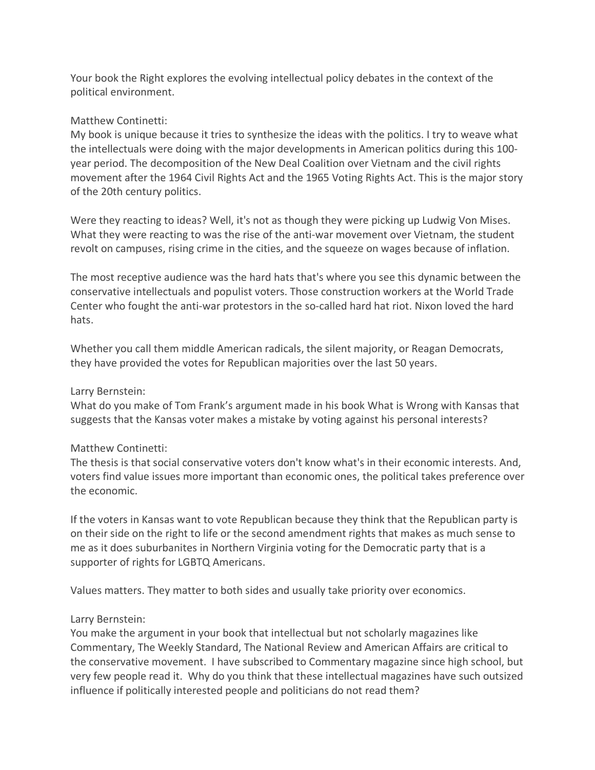Your book the Right explores the evolving intellectual policy debates in the context of the political environment.

### Matthew Continetti:

My book is unique because it tries to synthesize the ideas with the politics. I try to weave what the intellectuals were doing with the major developments in American politics during this 100 year period. The decomposition of the New Deal Coalition over Vietnam and the civil rights movement after the 1964 Civil Rights Act and the 1965 Voting Rights Act. This is the major story of the 20th century politics.

Were they reacting to ideas? Well, it's not as though they were picking up Ludwig Von Mises. What they were reacting to was the rise of the anti-war movement over Vietnam, the student revolt on campuses, rising crime in the cities, and the squeeze on wages because of inflation.

The most receptive audience was the hard hats that's where you see this dynamic between the conservative intellectuals and populist voters. Those construction workers at the World Trade Center who fought the anti-war protestors in the so-called hard hat riot. Nixon loved the hard hats.

Whether you call them middle American radicals, the silent majority, or Reagan Democrats, they have provided the votes for Republican majorities over the last 50 years.

### Larry Bernstein:

What do you make of Tom Frank's argument made in his book What is Wrong with Kansas that suggests that the Kansas voter makes a mistake by voting against his personal interests?

# Matthew Continetti:

The thesis is that social conservative voters don't know what's in their economic interests. And, voters find value issues more important than economic ones, the political takes preference over the economic.

If the voters in Kansas want to vote Republican because they think that the Republican party is on their side on the right to life or the second amendment rights that makes as much sense to me as it does suburbanites in Northern Virginia voting for the Democratic party that is a supporter of rights for LGBTQ Americans.

Values matters. They matter to both sides and usually take priority over economics.

# Larry Bernstein:

You make the argument in your book that intellectual but not scholarly magazines like Commentary, The Weekly Standard, The National Review and American Affairs are critical to the conservative movement. I have subscribed to Commentary magazine since high school, but very few people read it. Why do you think that these intellectual magazines have such outsized influence if politically interested people and politicians do not read them?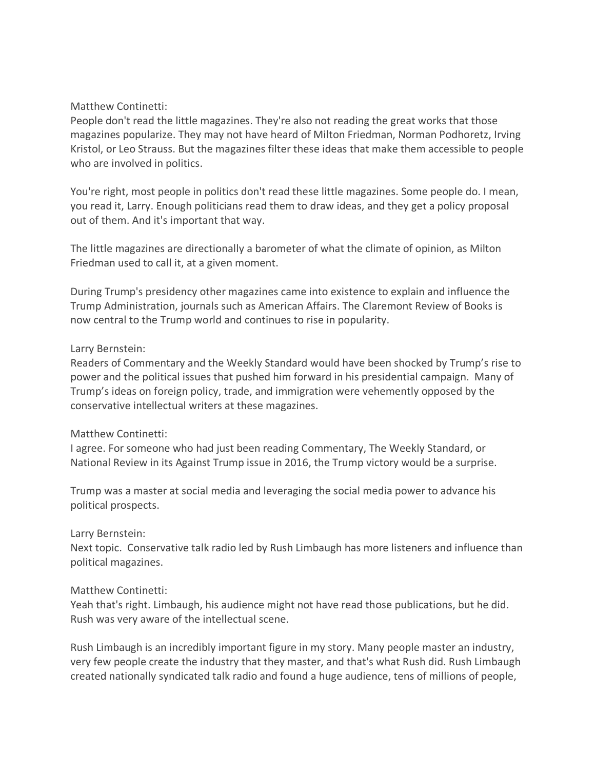### Matthew Continetti:

People don't read the little magazines. They're also not reading the great works that those magazines popularize. They may not have heard of Milton Friedman, Norman Podhoretz, Irving Kristol, or Leo Strauss. But the magazines filter these ideas that make them accessible to people who are involved in politics.

You're right, most people in politics don't read these little magazines. Some people do. I mean, you read it, Larry. Enough politicians read them to draw ideas, and they get a policy proposal out of them. And it's important that way.

The little magazines are directionally a barometer of what the climate of opinion, as Milton Friedman used to call it, at a given moment.

During Trump's presidency other magazines came into existence to explain and influence the Trump Administration, journals such as American Affairs. The Claremont Review of Books is now central to the Trump world and continues to rise in popularity.

#### Larry Bernstein:

Readers of Commentary and the Weekly Standard would have been shocked by Trump's rise to power and the political issues that pushed him forward in his presidential campaign. Many of Trump's ideas on foreign policy, trade, and immigration were vehemently opposed by the conservative intellectual writers at these magazines.

#### Matthew Continetti:

I agree. For someone who had just been reading Commentary, The Weekly Standard, or National Review in its Against Trump issue in 2016, the Trump victory would be a surprise.

Trump was a master at social media and leveraging the social media power to advance his political prospects.

#### Larry Bernstein:

Next topic. Conservative talk radio led by Rush Limbaugh has more listeners and influence than political magazines.

# Matthew Continetti:

Yeah that's right. Limbaugh, his audience might not have read those publications, but he did. Rush was very aware of the intellectual scene.

Rush Limbaugh is an incredibly important figure in my story. Many people master an industry, very few people create the industry that they master, and that's what Rush did. Rush Limbaugh created nationally syndicated talk radio and found a huge audience, tens of millions of people,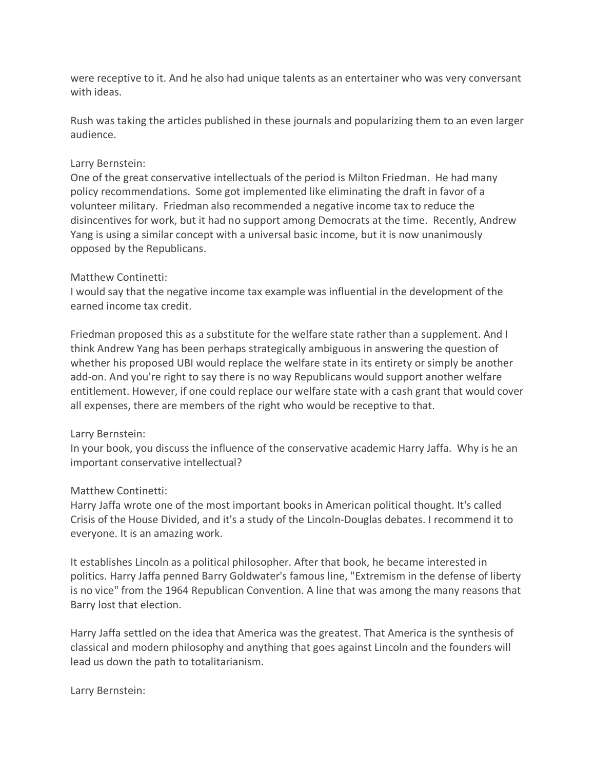were receptive to it. And he also had unique talents as an entertainer who was very conversant with ideas.

Rush was taking the articles published in these journals and popularizing them to an even larger audience.

#### Larry Bernstein:

One of the great conservative intellectuals of the period is Milton Friedman. He had many policy recommendations. Some got implemented like eliminating the draft in favor of a volunteer military. Friedman also recommended a negative income tax to reduce the disincentives for work, but it had no support among Democrats at the time. Recently, Andrew Yang is using a similar concept with a universal basic income, but it is now unanimously opposed by the Republicans.

#### Matthew Continetti:

I would say that the negative income tax example was influential in the development of the earned income tax credit.

Friedman proposed this as a substitute for the welfare state rather than a supplement. And I think Andrew Yang has been perhaps strategically ambiguous in answering the question of whether his proposed UBI would replace the welfare state in its entirety or simply be another add-on. And you're right to say there is no way Republicans would support another welfare entitlement. However, if one could replace our welfare state with a cash grant that would cover all expenses, there are members of the right who would be receptive to that.

# Larry Bernstein:

In your book, you discuss the influence of the conservative academic Harry Jaffa. Why is he an important conservative intellectual?

# Matthew Continetti:

Harry Jaffa wrote one of the most important books in American political thought. It's called Crisis of the House Divided, and it's a study of the Lincoln-Douglas debates. I recommend it to everyone. It is an amazing work.

It establishes Lincoln as a political philosopher. After that book, he became interested in politics. Harry Jaffa penned Barry Goldwater's famous line, "Extremism in the defense of liberty is no vice" from the 1964 Republican Convention. A line that was among the many reasons that Barry lost that election.

Harry Jaffa settled on the idea that America was the greatest. That America is the synthesis of classical and modern philosophy and anything that goes against Lincoln and the founders will lead us down the path to totalitarianism.

Larry Bernstein: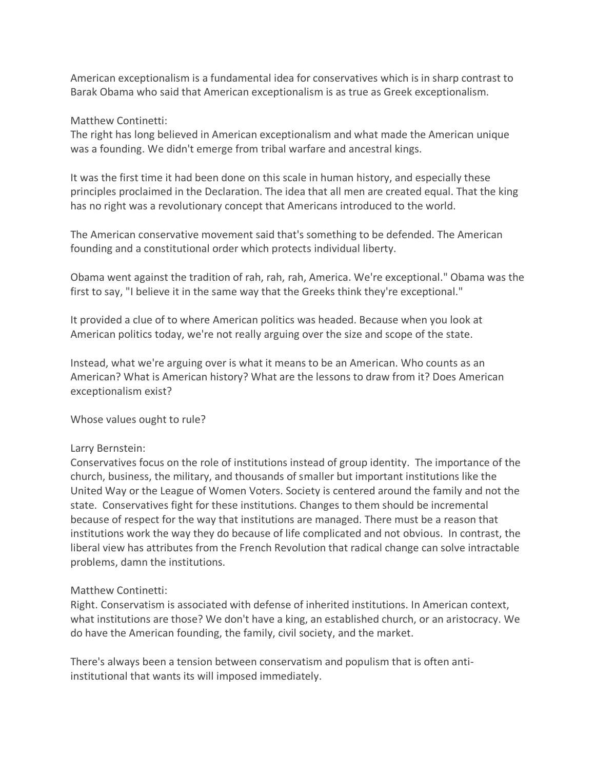American exceptionalism is a fundamental idea for conservatives which is in sharp contrast to Barak Obama who said that American exceptionalism is as true as Greek exceptionalism.

Matthew Continetti:

The right has long believed in American exceptionalism and what made the American unique was a founding. We didn't emerge from tribal warfare and ancestral kings.

It was the first time it had been done on this scale in human history, and especially these principles proclaimed in the Declaration. The idea that all men are created equal. That the king has no right was a revolutionary concept that Americans introduced to the world.

The American conservative movement said that's something to be defended. The American founding and a constitutional order which protects individual liberty.

Obama went against the tradition of rah, rah, rah, America. We're exceptional." Obama was the first to say, "I believe it in the same way that the Greeks think they're exceptional."

It provided a clue of to where American politics was headed. Because when you look at American politics today, we're not really arguing over the size and scope of the state.

Instead, what we're arguing over is what it means to be an American. Who counts as an American? What is American history? What are the lessons to draw from it? Does American exceptionalism exist?

Whose values ought to rule?

#### Larry Bernstein:

Conservatives focus on the role of institutions instead of group identity. The importance of the church, business, the military, and thousands of smaller but important institutions like the United Way or the League of Women Voters. Society is centered around the family and not the state. Conservatives fight for these institutions. Changes to them should be incremental because of respect for the way that institutions are managed. There must be a reason that institutions work the way they do because of life complicated and not obvious. In contrast, the liberal view has attributes from the French Revolution that radical change can solve intractable problems, damn the institutions.

#### Matthew Continetti:

Right. Conservatism is associated with defense of inherited institutions. In American context, what institutions are those? We don't have a king, an established church, or an aristocracy. We do have the American founding, the family, civil society, and the market.

There's always been a tension between conservatism and populism that is often antiinstitutional that wants its will imposed immediately.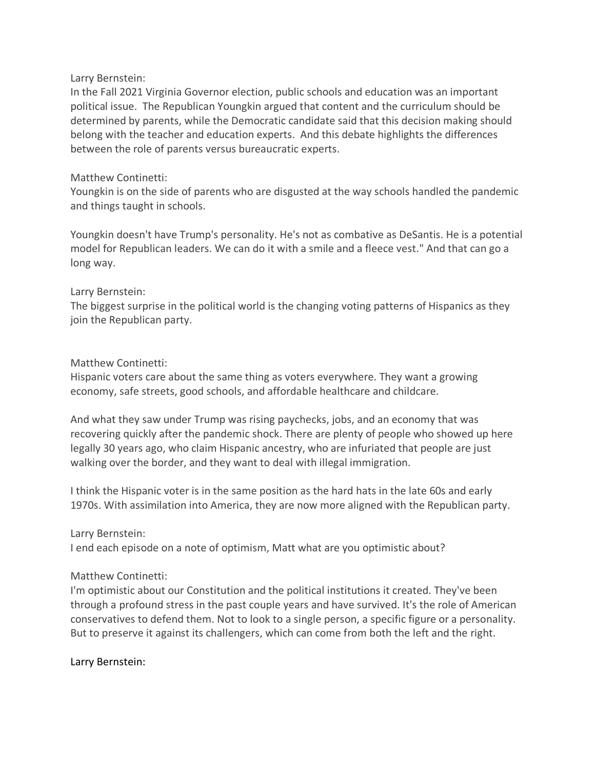### Larry Bernstein:

In the Fall 2021 Virginia Governor election, public schools and education was an important political issue. The Republican Youngkin argued that content and the curriculum should be determined by parents, while the Democratic candidate said that this decision making should belong with the teacher and education experts. And this debate highlights the differences between the role of parents versus bureaucratic experts.

### Matthew Continetti:

Youngkin is on the side of parents who are disgusted at the way schools handled the pandemic and things taught in schools.

Youngkin doesn't have Trump's personality. He's not as combative as DeSantis. He is a potential model for Republican leaders. We can do it with a smile and a fleece vest." And that can go a long way.

# Larry Bernstein:

The biggest surprise in the political world is the changing voting patterns of Hispanics as they join the Republican party.

# Matthew Continetti:

Hispanic voters care about the same thing as voters everywhere. They want a growing economy, safe streets, good schools, and affordable healthcare and childcare.

And what they saw under Trump was rising paychecks, jobs, and an economy that was recovering quickly after the pandemic shock. There are plenty of people who showed up here legally 30 years ago, who claim Hispanic ancestry, who are infuriated that people are just walking over the border, and they want to deal with illegal immigration.

I think the Hispanic voter is in the same position as the hard hats in the late 60s and early 1970s. With assimilation into America, they are now more aligned with the Republican party.

#### Larry Bernstein:

I end each episode on a note of optimism, Matt what are you optimistic about?

# Matthew Continetti:

I'm optimistic about our Constitution and the political institutions it created. They've been through a profound stress in the past couple years and have survived. It's the role of American conservatives to defend them. Not to look to a single person, a specific figure or a personality. But to preserve it against its challengers, which can come from both the left and the right.

#### Larry Bernstein: